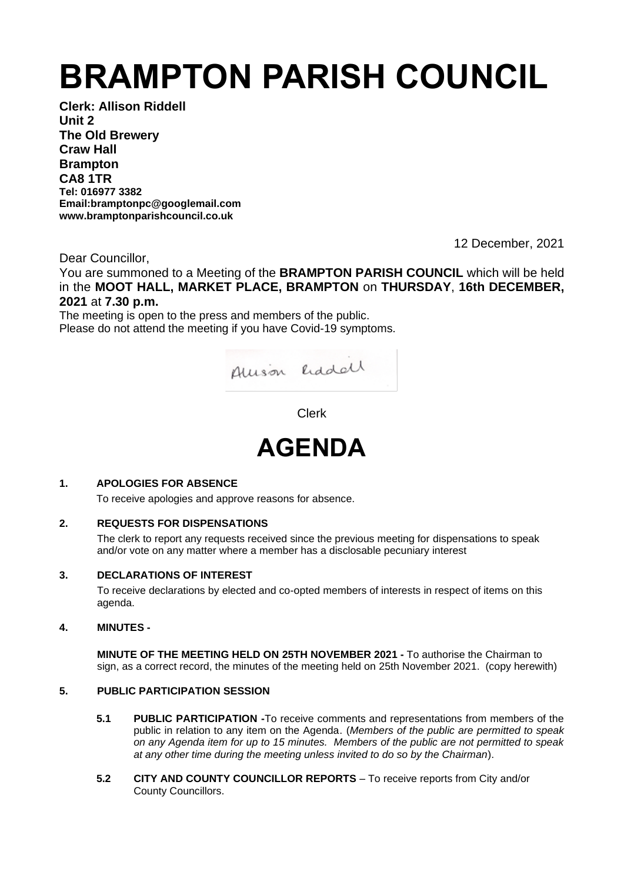# **BRAMPTON PARISH COUNCIL**

**Clerk: Allison Riddell Unit 2 The Old Brewery Craw Hall Brampton CA8 1TR Tel: 016977 3382 Email:bramptonpc@googlemail.com www.bramptonparishcouncil.co.uk**

12 December, 2021

Dear Councillor,

You are summoned to a Meeting of the **BRAMPTON PARISH COUNCIL** which will be held in the **MOOT HALL, MARKET PLACE, BRAMPTON** on **THURSDAY**, **16th DECEMBER, 2021** at **7.30 p.m.**

The meeting is open to the press and members of the public. Please do not attend the meeting if you have Covid-19 symptoms.



Clerk



# **1. APOLOGIES FOR ABSENCE**

To receive apologies and approve reasons for absence.

# **2. REQUESTS FOR DISPENSATIONS**

The clerk to report any requests received since the previous meeting for dispensations to speak and/or vote on any matter where a member has a disclosable pecuniary interest

# **3. DECLARATIONS OF INTEREST**

To receive declarations by elected and co-opted members of interests in respect of items on this agenda.

# **4. MINUTES -**

**MINUTE OF THE MEETING HELD ON 25TH NOVEMBER 2021 -** To authorise the Chairman to sign, as a correct record, the minutes of the meeting held on 25th November 2021. (copy herewith)

# **5. PUBLIC PARTICIPATION SESSION**

- **5.1 PUBLIC PARTICIPATION -**To receive comments and representations from members of the public in relation to any item on the Agenda. (*Members of the public are permitted to speak on any Agenda item for up to 15 minutes. Members of the public are not permitted to speak at any other time during the meeting unless invited to do so by the Chairman*).
- **5.2 CITY AND COUNTY COUNCILLOR REPORTS** To receive reports from City and/or County Councillors.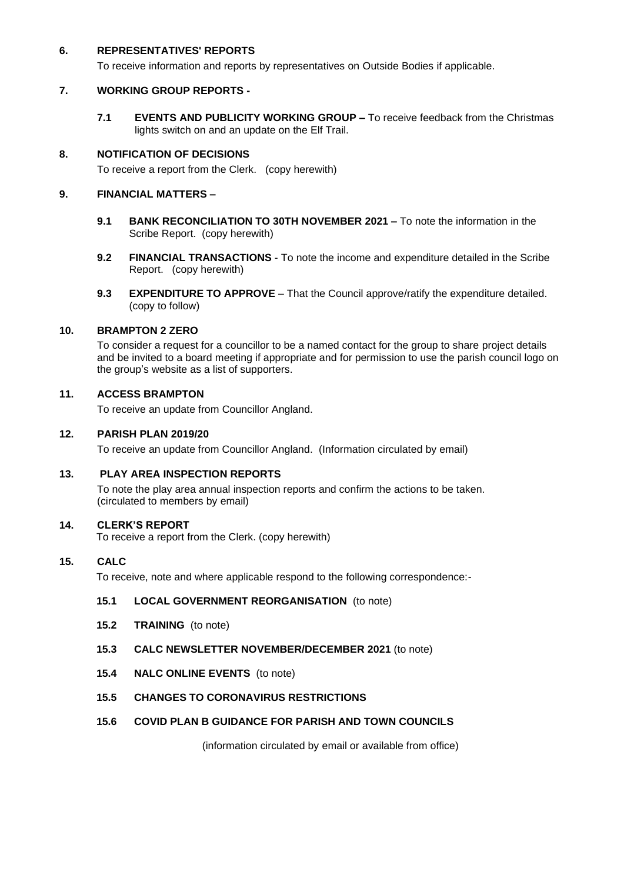# **6. REPRESENTATIVES' REPORTS**

To receive information and reports by representatives on Outside Bodies if applicable.

# **7. WORKING GROUP REPORTS -**

**7.1 EVENTS AND PUBLICITY WORKING GROUP –** To receive feedback from the Christmas lights switch on and an update on the Elf Trail.

# **8. NOTIFICATION OF DECISIONS**

To receive a report from the Clerk. (copy herewith)

# **9. FINANCIAL MATTERS –**

- **9.1 BANK RECONCILIATION TO 30TH NOVEMBER 2021 –** To note the information in the Scribe Report. (copy herewith)
- **9.2 FINANCIAL TRANSACTIONS** To note the income and expenditure detailed in the Scribe Report. (copy herewith)
- **9.3 EXPENDITURE TO APPROVE** That the Council approve/ratify the expenditure detailed. (copy to follow)

# **10. BRAMPTON 2 ZERO**

To consider a request for a councillor to be a named contact for the group to share project details and be invited to a board meeting if appropriate and for permission to use the parish council logo on the group's website as a list of supporters.

# **11. ACCESS BRAMPTON**

To receive an update from Councillor Angland.

# **12. PARISH PLAN 2019/20**

To receive an update from Councillor Angland. (Information circulated by email)

# **13. PLAY AREA INSPECTION REPORTS**

To note the play area annual inspection reports and confirm the actions to be taken. (circulated to members by email)

#### **14. CLERK'S REPORT**

To receive a report from the Clerk. (copy herewith)

# **15. CALC**

To receive, note and where applicable respond to the following correspondence:-

# **15.1 LOCAL GOVERNMENT REORGANISATION** (to note)

- **15.2 TRAINING** (to note)
- **15.3 CALC NEWSLETTER NOVEMBER/DECEMBER 2021** (to note)
- **15.4 NALC ONLINE EVENTS** (to note)

# **15.5 CHANGES TO CORONAVIRUS RESTRICTIONS**

# **15.6 COVID PLAN B GUIDANCE FOR PARISH AND TOWN COUNCILS**

(information circulated by email or available from office)